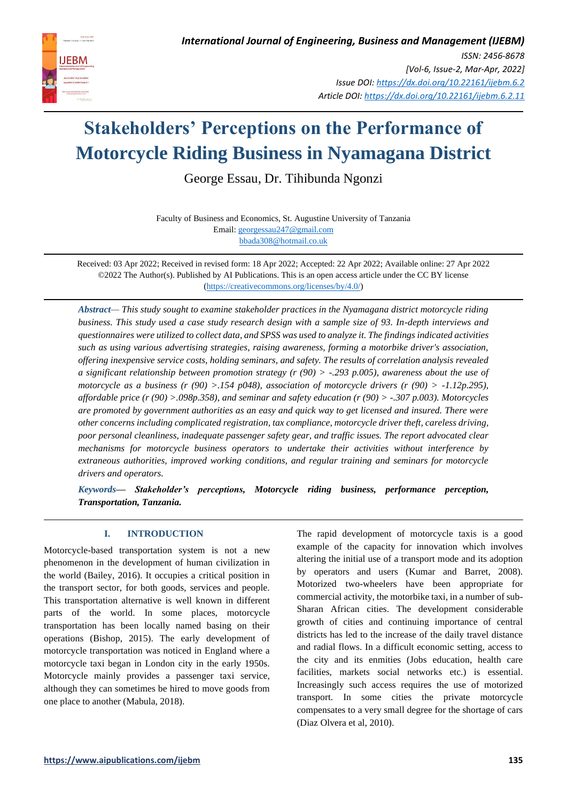

# **Stakeholders' Perceptions on the Performance of Motorcycle Riding Business in Nyamagana District**

George Essau, Dr. Tihibunda Ngonzi

Faculty of Business and Economics, St. Augustine University of Tanzania Email[: georgessau247@gmail.com](mailto:georgessau247@gmail.com) [bbada308@hotmail.co.uk](mailto:bbada308@hotmail.co.uk)

Received: 03 Apr 2022; Received in revised form: 18 Apr 2022; Accepted: 22 Apr 2022; Available online: 27 Apr 2022 ©2022 The Author(s). Published by AI Publications. This is an open access article under the CC BY license [\(https://creativecommons.org/licenses/by/4.0/\)](https://creativecommons.org/licenses/by/4.0/)

*Abstract— This study sought to examine stakeholder practices in the Nyamagana district motorcycle riding business. This study used a case study research design with a sample size of 93. In-depth interviews and questionnaires were utilized to collect data, and SPSS was used to analyze it. The findings indicated activities such as using various advertising strategies, raising awareness, forming a motorbike driver's association, offering inexpensive service costs, holding seminars, and safety. The results of correlation analysis revealed a significant relationship between promotion strategy (r (90) > -.293 p.005), awareness about the use of motorcycle as a business (r (90) >.154 p048), association of motorcycle drivers (r (90) > -1.12p.295), affordable price (r (90) >.098p.358), and seminar and safety education (r (90) > -.307 p.003). Motorcycles are promoted by government authorities as an easy and quick way to get licensed and insured. There were other concerns including complicated registration, tax compliance, motorcycle driver theft, careless driving, poor personal cleanliness, inadequate passenger safety gear, and traffic issues. The report advocated clear mechanisms for motorcycle business operators to undertake their activities without interference by extraneous authorities, improved working conditions, and regular training and seminars for motorcycle drivers and operators.* 

*Keywords— Stakeholder's perceptions, Motorcycle riding business, performance perception, Transportation, Tanzania.*

## **I. INTRODUCTION**

Motorcycle-based transportation system is not a new phenomenon in the development of human civilization in the world (Bailey, 2016). It occupies a critical position in the transport sector, for both goods, services and people. This transportation alternative is well known in different parts of the world. In some places, motorcycle transportation has been locally named basing on their operations (Bishop, 2015). The early development of motorcycle transportation was noticed in England where a motorcycle taxi began in London city in the early 1950s. Motorcycle mainly provides a passenger taxi service, although they can sometimes be hired to move goods from one place to another (Mabula, 2018).

The rapid development of motorcycle taxis is a good example of the capacity for innovation which involves altering the initial use of a transport mode and its adoption by operators and users (Kumar and Barret, 2008). Motorized two-wheelers have been appropriate for commercial activity, the motorbike taxi, in a number of sub-Sharan African cities. The development considerable growth of cities and continuing importance of central districts has led to the increase of the daily travel distance and radial flows. In a difficult economic setting, access to the city and its enmities (Jobs education, health care facilities, markets social networks etc.) is essential. Increasingly such access requires the use of motorized transport. In some cities the private motorcycle compensates to a very small degree for the shortage of cars (Diaz Olvera et al, 2010).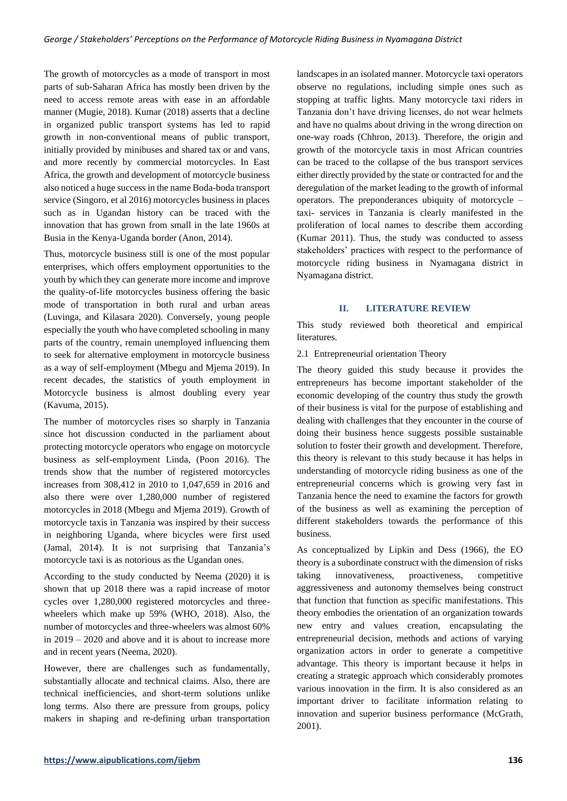The growth of motorcycles as a mode of transport in most parts of sub-Saharan Africa has mostly been driven by the need to access remote areas with ease in an affordable manner (Mugie, 2018). Kumar (2018) asserts that a decline in organized public transport systems has led to rapid growth in non-conventional means of public transport, initially provided by minibuses and shared tax or and vans, and more recently by commercial motorcycles. In East Africa, the growth and development of motorcycle business also noticed a huge success in the name Boda-boda transport service (Singoro, et al 2016) motorcycles business in places such as in Ugandan history can be traced with the innovation that has grown from small in the late 1960s at Busia in the Kenya-Uganda border (Anon, 2014).

Thus, motorcycle business still is one of the most popular enterprises, which offers employment opportunities to the youth by which they can generate more income and improve the quality-of-life motorcycles business offering the basic mode of transportation in both rural and urban areas (Luvinga, and Kilasara 2020). Conversely, young people especially the youth who have completed schooling in many parts of the country, remain unemployed influencing them to seek for alternative employment in motorcycle business as a way of self-employment (Mbegu and Mjema 2019). In recent decades, the statistics of youth employment in Motorcycle business is almost doubling every year (Kavuma, 2015).

The number of motorcycles rises so sharply in Tanzania since hot discussion conducted in the parliament about protecting motorcycle operators who engage on motorcycle business as self-employment Linda, (Poon 2016). The trends show that the number of registered motorcycles increases from 308,412 in 2010 to 1,047,659 in 2016 and also there were over 1,280,000 number of registered motorcycles in 2018 (Mbegu and Mjema 2019). Growth of motorcycle taxis in Tanzania was inspired by their success in neighboring Uganda, where bicycles were first used (Jamal, 2014). It is not surprising that Tanzania's motorcycle taxi is as notorious as the Ugandan ones.

According to the study conducted by Neema (2020) it is shown that up 2018 there was a rapid increase of motor cycles over 1,280,000 registered motorcycles and threewheelers which make up 59% (WHO, 2018). Also, the number of motorcycles and three-wheelers was almost 60% in 2019 – 2020 and above and it is about to increase more and in recent years (Neema, 2020).

However, there are challenges such as fundamentally, substantially allocate and technical claims. Also, there are technical inefficiencies, and short-term solutions unlike long terms. Also there are pressure from groups, policy makers in shaping and re-defining urban transportation landscapes in an isolated manner. Motorcycle taxi operators observe no regulations, including simple ones such as stopping at traffic lights. Many motorcycle taxi riders in Tanzania don't have driving licenses, do not wear helmets and have no qualms about driving in the wrong direction on one-way roads (Chhron, 2013). Therefore, the origin and growth of the motorcycle taxis in most African countries can be traced to the collapse of the bus transport services either directly provided by the state or contracted for and the deregulation of the market leading to the growth of informal operators. The preponderances ubiquity of motorcycle – taxi- services in Tanzania is clearly manifested in the proliferation of local names to describe them according (Kumar 2011). Thus, the study was conducted to assess stakeholders' practices with respect to the performance of motorcycle riding business in Nyamagana district in Nyamagana district.

## **II. LITERATURE REVIEW**

This study reviewed both theoretical and empirical literatures.

## 2.1 Entrepreneurial orientation Theory

The theory guided this study because it provides the entrepreneurs has become important stakeholder of the economic developing of the country thus study the growth of their business is vital for the purpose of establishing and dealing with challenges that they encounter in the course of doing their business hence suggests possible sustainable solution to foster their growth and development. Therefore, this theory is relevant to this study because it has helps in understanding of motorcycle riding business as one of the entrepreneurial concerns which is growing very fast in Tanzania hence the need to examine the factors for growth of the business as well as examining the perception of different stakeholders towards the performance of this business.

As conceptualized by Lipkin and Dess (1966), the EO theory is a subordinate construct with the dimension of risks taking innovativeness, proactiveness, competitive aggressiveness and autonomy themselves being construct that function that function as specific manifestations. This theory embodies the orientation of an organization towards new entry and values creation, encapsulating the entrepreneurial decision, methods and actions of varying organization actors in order to generate a competitive advantage. This theory is important because it helps in creating a strategic approach which considerably promotes various innovation in the firm. It is also considered as an important driver to facilitate information relating to innovation and superior business performance (McGrath, 2001).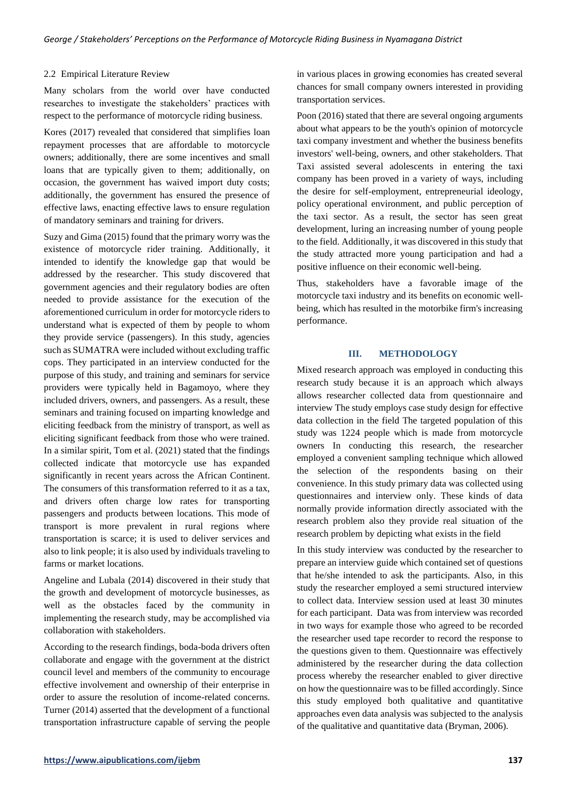#### 2.2 Empirical Literature Review

Many scholars from the world over have conducted researches to investigate the stakeholders' practices with respect to the performance of motorcycle riding business.

Kores (2017) revealed that considered that simplifies loan repayment processes that are affordable to motorcycle owners; additionally, there are some incentives and small loans that are typically given to them; additionally, on occasion, the government has waived import duty costs; additionally, the government has ensured the presence of effective laws, enacting effective laws to ensure regulation of mandatory seminars and training for drivers.

Suzy and Gima (2015) found that the primary worry was the existence of motorcycle rider training. Additionally, it intended to identify the knowledge gap that would be addressed by the researcher. This study discovered that government agencies and their regulatory bodies are often needed to provide assistance for the execution of the aforementioned curriculum in order for motorcycle riders to understand what is expected of them by people to whom they provide service (passengers). In this study, agencies such as SUMATRA were included without excluding traffic cops. They participated in an interview conducted for the purpose of this study, and training and seminars for service providers were typically held in Bagamoyo, where they included drivers, owners, and passengers. As a result, these seminars and training focused on imparting knowledge and eliciting feedback from the ministry of transport, as well as eliciting significant feedback from those who were trained. In a similar spirit, Tom et al. (2021) stated that the findings collected indicate that motorcycle use has expanded significantly in recent years across the African Continent. The consumers of this transformation referred to it as a tax, and drivers often charge low rates for transporting passengers and products between locations. This mode of transport is more prevalent in rural regions where transportation is scarce; it is used to deliver services and also to link people; it is also used by individuals traveling to farms or market locations.

Angeline and Lubala (2014) discovered in their study that the growth and development of motorcycle businesses, as well as the obstacles faced by the community in implementing the research study, may be accomplished via collaboration with stakeholders.

According to the research findings, boda-boda drivers often collaborate and engage with the government at the district council level and members of the community to encourage effective involvement and ownership of their enterprise in order to assure the resolution of income-related concerns. Turner (2014) asserted that the development of a functional transportation infrastructure capable of serving the people in various places in growing economies has created several chances for small company owners interested in providing transportation services.

Poon (2016) stated that there are several ongoing arguments about what appears to be the youth's opinion of motorcycle taxi company investment and whether the business benefits investors' well-being, owners, and other stakeholders. That Taxi assisted several adolescents in entering the taxi company has been proved in a variety of ways, including the desire for self-employment, entrepreneurial ideology, policy operational environment, and public perception of the taxi sector. As a result, the sector has seen great development, luring an increasing number of young people to the field. Additionally, it was discovered in this study that the study attracted more young participation and had a positive influence on their economic well-being.

Thus, stakeholders have a favorable image of the motorcycle taxi industry and its benefits on economic wellbeing, which has resulted in the motorbike firm's increasing performance.

#### **III. METHODOLOGY**

Mixed research approach was employed in conducting this research study because it is an approach which always allows researcher collected data from questionnaire and interview The study employs case study design for effective data collection in the field The targeted population of this study was 1224 people which is made from motorcycle owners In conducting this research, the researcher employed a convenient sampling technique which allowed the selection of the respondents basing on their convenience. In this study primary data was collected using questionnaires and interview only. These kinds of data normally provide information directly associated with the research problem also they provide real situation of the research problem by depicting what exists in the field

In this study interview was conducted by the researcher to prepare an interview guide which contained set of questions that he/she intended to ask the participants. Also, in this study the researcher employed a semi structured interview to collect data. Interview session used at least 30 minutes for each participant. Data was from interview was recorded in two ways for example those who agreed to be recorded the researcher used tape recorder to record the response to the questions given to them. Questionnaire was effectively administered by the researcher during the data collection process whereby the researcher enabled to giver directive on how the questionnaire was to be filled accordingly. Since this study employed both qualitative and quantitative approaches even data analysis was subjected to the analysis of the qualitative and quantitative data (Bryman, 2006).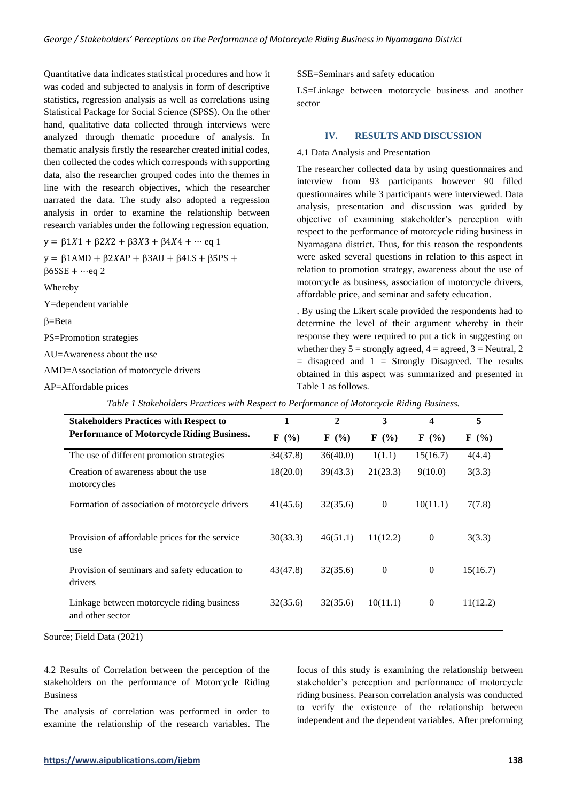Quantitative data indicates statistical procedures and how it was coded and subjected to analysis in form of descriptive statistics, regression analysis as well as correlations using Statistical Package for Social Science (SPSS). On the other hand, qualitative data collected through interviews were analyzed through thematic procedure of analysis. In thematic analysis firstly the researcher created initial codes, then collected the codes which corresponds with supporting data, also the researcher grouped codes into the themes in line with the research objectives, which the researcher narrated the data. The study also adopted a regression analysis in order to examine the relationship between research variables under the following regression equation.

 $y = \beta 1X1 + \beta 2X2 + \beta 3X3 + \beta 4X4 + \cdots$  eq 1

 $y = \beta$ 1AMD +  $\beta$ 2XAP +  $\beta$ 3AU +  $\beta$ 4LS +  $\beta$ 5PS +  $\beta$ 6SSE + …eq 2

Whereby

Y=dependent variable

 $\beta = \text{Beta}$ 

PS=Promotion strategies

AU=Awareness about the use

AMD=Association of motorcycle drivers

AP=Affordable prices

SSE=Seminars and safety education

LS=Linkage between motorcycle business and another sector

## **IV. RESULTS AND DISCUSSION**

4.1 Data Analysis and Presentation

The researcher collected data by using questionnaires and interview from 93 participants however 90 filled questionnaires while 3 participants were interviewed. Data analysis, presentation and discussion was guided by objective of examining stakeholder's perception with respect to the performance of motorcycle riding business in Nyamagana district. Thus, for this reason the respondents were asked several questions in relation to this aspect in relation to promotion strategy, awareness about the use of motorcycle as business, association of motorcycle drivers, affordable price, and seminar and safety education.

. By using the Likert scale provided the respondents had to determine the level of their argument whereby in their response they were required to put a tick in suggesting on whether they  $5 =$  strongly agreed,  $4 =$  agreed,  $3 =$  Neutral, 2  $=$  disagreed and  $1 =$  Strongly Disagreed. The results obtained in this aspect was summarized and presented in Table 1 as follows.

| <b>Stakeholders Practices with Respect to</b>                  | 1        | $\mathbf{2}$                | 3                         | 4                           | 5                           |
|----------------------------------------------------------------|----------|-----------------------------|---------------------------|-----------------------------|-----------------------------|
| <b>Performance of Motorcycle Riding Business.</b>              | $F(\%)$  | $\mathbf{F}(\mathcal{V}_0)$ | $\mathbf{F}(\mathcal{C})$ | $\mathbf{F}(\mathcal{V}_0)$ | $\mathbf{F}(\mathcal{V}_0)$ |
| The use of different promotion strategies                      | 34(37.8) | 36(40.0)                    | 1(1.1)                    | 15(16.7)                    | 4(4.4)                      |
| Creation of awareness about the use<br>motorcycles             | 18(20.0) | 39(43.3)                    | 21(23.3)                  | 9(10.0)                     | 3(3.3)                      |
| Formation of association of motorcycle drivers                 | 41(45.6) | 32(35.6)                    | $\theta$                  | 10(11.1)                    | 7(7.8)                      |
| Provision of affordable prices for the service<br>use          | 30(33.3) | 46(51.1)                    | 11(12.2)                  | $\boldsymbol{0}$            | 3(3.3)                      |
| Provision of seminars and safety education to<br>drivers       | 43(47.8) | 32(35.6)                    | $\boldsymbol{0}$          | $\theta$                    | 15(16.7)                    |
| Linkage between motorcycle riding business<br>and other sector | 32(35.6) | 32(35.6)                    | 10(11.1)                  | $\boldsymbol{0}$            | 11(12.2)                    |

*Table 1 Stakeholders Practices with Respect to Performance of Motorcycle Riding Business.*

Source; Field Data (2021)

4.2 Results of Correlation between the perception of the stakeholders on the performance of Motorcycle Riding Business

The analysis of correlation was performed in order to examine the relationship of the research variables. The

focus of this study is examining the relationship between stakeholder's perception and performance of motorcycle riding business. Pearson correlation analysis was conducted to verify the existence of the relationship between independent and the dependent variables. After preforming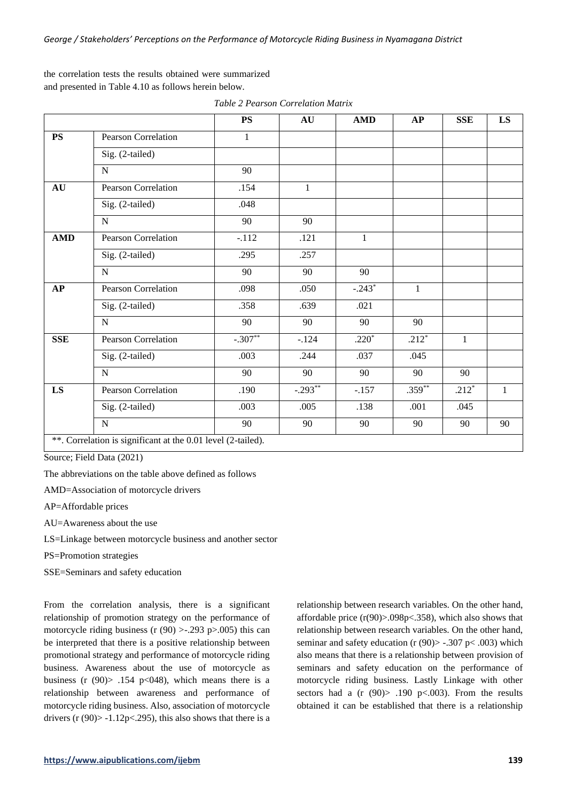the correlation tests the results obtained were summarized and presented in Table 4.10 as follows herein below.

|            |                                                              | <b>PS</b>    | AU           | <b>AMD</b>   | AP           | <b>SSE</b>   | $\mathbf{L}\mathbf{S}$ |
|------------|--------------------------------------------------------------|--------------|--------------|--------------|--------------|--------------|------------------------|
| PS         | Pearson Correlation                                          | $\mathbf{1}$ |              |              |              |              |                        |
|            | Sig. (2-tailed)                                              |              |              |              |              |              |                        |
|            | ${\bf N}$                                                    | 90           |              |              |              |              |                        |
| AU         | <b>Pearson Correlation</b>                                   | .154         | $\mathbf{1}$ |              |              |              |                        |
|            | Sig. (2-tailed)                                              | .048         |              |              |              |              |                        |
|            | ${\bf N}$                                                    | 90           | 90           |              |              |              |                        |
| <b>AMD</b> | <b>Pearson Correlation</b>                                   | $-.112$      | .121         | $\mathbf{1}$ |              |              |                        |
|            | Sig. (2-tailed)                                              | .295         | .257         |              |              |              |                        |
|            | $\mathbf N$                                                  | 90           | 90           | 90           |              |              |                        |
| AP         | <b>Pearson Correlation</b>                                   | .098         | .050         | $-.243*$     | $\mathbf{1}$ |              |                        |
|            | Sig. (2-tailed)                                              | .358         | .639         | .021         |              |              |                        |
|            | $\overline{N}$                                               | 90           | 90           | 90           | 90           |              |                        |
| <b>SSE</b> | Pearson Correlation                                          | $-.307**$    | $-.124$      | $.220*$      | $.212*$      | $\mathbf{1}$ |                        |
|            | Sig. (2-tailed)                                              | .003         | .244         | .037         | .045         |              |                        |
|            | ${\bf N}$                                                    | 90           | 90           | 90           | 90           | 90           |                        |
| LS         | <b>Pearson Correlation</b>                                   | .190         | $-0.293**$   | $-.157$      | $.359**$     | $.212*$      | $\mathbf{1}$           |
|            | Sig. (2-tailed)                                              | .003         | .005         | .138         | .001         | .045         |                        |
|            | ${\bf N}$                                                    | 90           | 90           | 90           | 90           | 90           | 90                     |
|            | **. Correlation is significant at the 0.01 level (2-tailed). |              |              |              |              |              |                        |

*Table 2 Pearson Correlation Matrix*

Source; Field Data (2021)

The abbreviations on the table above defined as follows

AMD=Association of motorcycle drivers

AP=Affordable prices

AU=Awareness about the use

LS=Linkage between motorcycle business and another sector

PS=Promotion strategies

SSE=Seminars and safety education

From the correlation analysis, there is a significant relationship of promotion strategy on the performance of motorcycle riding business (r  $(90) > -0.293$  p $>0.005$ ) this can be interpreted that there is a positive relationship between promotional strategy and performance of motorcycle riding business. Awareness about the use of motorcycle as business (r  $(90)$   $\ge$  .154 p  $(948)$ , which means there is a relationship between awareness and performance of motorcycle riding business. Also, association of motorcycle drivers (r  $(90)$  > -1.12p < 295), this also shows that there is a relationship between research variables. On the other hand, affordable price  $(r(90)$ >.098p<.358), which also shows that relationship between research variables. On the other hand, seminar and safety education (r  $(90)$  -.307 p < .003) which also means that there is a relationship between provision of seminars and safety education on the performance of motorcycle riding business. Lastly Linkage with other sectors had a  $(r (90) > .190 \text{ p} < .003)$ . From the results obtained it can be established that there is a relationship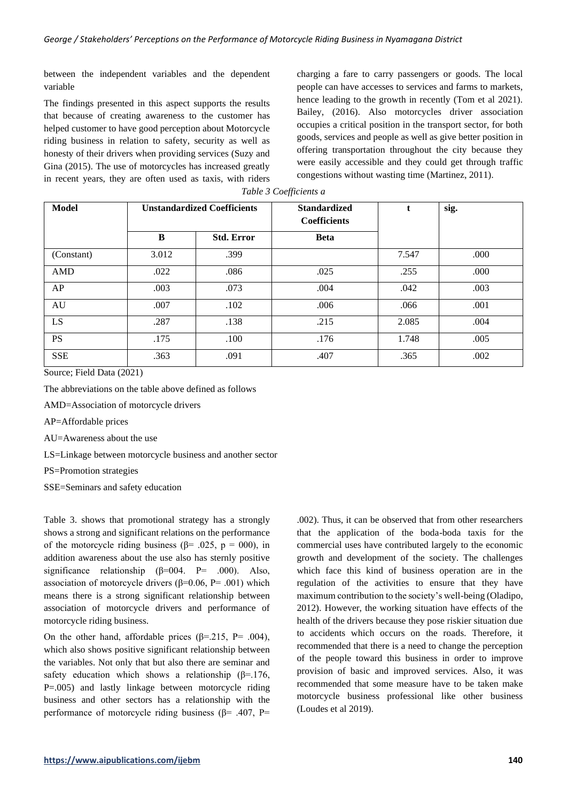between the independent variables and the dependent variable

The findings presented in this aspect supports the results that because of creating awareness to the customer has helped customer to have good perception about Motorcycle riding business in relation to safety, security as well as honesty of their drivers when providing services (Suzy and Gina (2015). The use of motorcycles has increased greatly in recent years, they are often used as taxis, with riders charging a fare to carry passengers or goods. The local people can have accesses to services and farms to markets, hence leading to the growth in recently (Tom et al 2021). Bailey, (2016). Also motorcycles driver association occupies a critical position in the transport sector, for both goods, services and people as well as give better position in offering transportation throughout the city because they were easily accessible and they could get through traffic congestions without wasting time (Martinez, 2011).

| <b>Model</b> | <b>Unstandardized Coefficients</b> |                   | <b>Standardized</b><br><b>Coefficients</b> | L     | sig. |
|--------------|------------------------------------|-------------------|--------------------------------------------|-------|------|
|              | B                                  | <b>Std. Error</b> | <b>Beta</b>                                |       |      |
| (Constant)   | 3.012                              | .399              |                                            | 7.547 | .000 |
| AMD          | .022                               | .086              | .025                                       | .255  | .000 |
| AP           | .003                               | .073              | .004                                       | .042  | .003 |
| AU           | .007                               | .102              | .006                                       | .066  | .001 |
| LS           | .287                               | .138              | .215                                       | 2.085 | .004 |
| <b>PS</b>    | .175                               | .100              | .176                                       | 1.748 | .005 |
| <b>SSE</b>   | .363                               | .091              | .407                                       | .365  | .002 |

*Table 3 Coefficients a*

Source; Field Data (2021)

The abbreviations on the table above defined as follows

AMD=Association of motorcycle drivers

AP=Affordable prices

AU=Awareness about the use

LS=Linkage between motorcycle business and another sector

PS=Promotion strategies

SSE=Seminars and safety education

Table 3. shows that promotional strategy has a strongly shows a strong and significant relations on the performance of the motorcycle riding business ( $\beta$ = .025, p = 000), in addition awareness about the use also has sternly positive significance relationship ( $\beta$ =004. P= .000). Also, association of motorcycle drivers ( $β=0.06$ ,  $P=.001$ ) which means there is a strong significant relationship between association of motorcycle drivers and performance of motorcycle riding business.

On the other hand, affordable prices ( $\beta$ =.215, P= .004), which also shows positive significant relationship between the variables. Not only that but also there are seminar and safety education which shows a relationship ( $\beta$ =.176, P=.005) and lastly linkage between motorcycle riding business and other sectors has a relationship with the performance of motorcycle riding business ( $\beta$ = .407, P=

.002). Thus, it can be observed that from other researchers that the application of the boda-boda taxis for the commercial uses have contributed largely to the economic growth and development of the society. The challenges which face this kind of business operation are in the regulation of the activities to ensure that they have maximum contribution to the society's well-being (Oladipo, 2012). However, the working situation have effects of the health of the drivers because they pose riskier situation due to accidents which occurs on the roads. Therefore, it recommended that there is a need to change the perception of the people toward this business in order to improve provision of basic and improved services. Also, it was recommended that some measure have to be taken make motorcycle business professional like other business (Loudes et al 2019).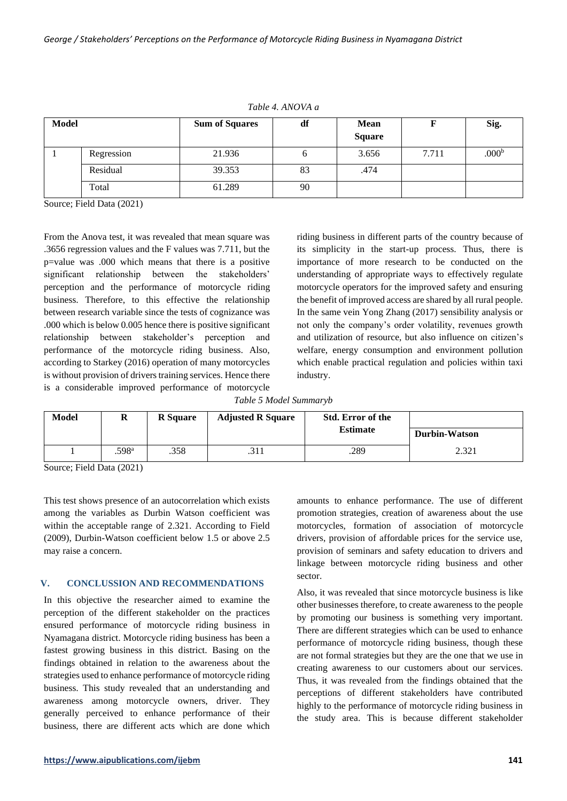| <b>Model</b> |            | <b>Sum of Squares</b> | df | <b>Mean</b><br><b>Square</b> |       | Sig.              |
|--------------|------------|-----------------------|----|------------------------------|-------|-------------------|
|              | Regression | 21.936                | O  | 3.656                        | 7.711 | .000 <sup>b</sup> |
|              | Residual   | 39.353                | 83 | .474                         |       |                   |
|              | Total      | 61.289                | 90 |                              |       |                   |

*Table 4. ANOVA a*

Source; Field Data (2021)

From the Anova test, it was revealed that mean square was .3656 regression values and the F values was 7.711, but the p=value was .000 which means that there is a positive significant relationship between the stakeholders' perception and the performance of motorcycle riding business. Therefore, to this effective the relationship between research variable since the tests of cognizance was .000 which is below 0.005 hence there is positive significant relationship between stakeholder's perception and performance of the motorcycle riding business. Also, according to Starkey (2016) operation of many motorcycles is without provision of drivers training services. Hence there is a considerable improved performance of motorcycle

riding business in different parts of the country because of its simplicity in the start-up process. Thus, there is importance of more research to be conducted on the understanding of appropriate ways to effectively regulate motorcycle operators for the improved safety and ensuring the benefit of improved access are shared by all rural people. In the same vein Yong Zhang (2017) sensibility analysis or not only the company's order volatility, revenues growth and utilization of resource, but also influence on citizen's welfare, energy consumption and environment pollution which enable practical regulation and policies within taxi industry.

*Table 5 Model Summaryb*

| Model | u                 | <b>R</b> Square | <b>Adjusted R Square</b> | <b>Std. Error of the</b><br><b>Estimate</b> | Durbin-Watson |
|-------|-------------------|-----------------|--------------------------|---------------------------------------------|---------------|
|       | .598 <sup>a</sup> | .358            | .311                     | .289                                        | 2.321         |

Source; Field Data (2021)

This test shows presence of an autocorrelation which exists among the variables as Durbin Watson coefficient was within the acceptable range of 2.321. According to Field (2009), Durbin-Watson coefficient below 1.5 or above 2.5 may raise a concern.

## **V. CONCLUSSION AND RECOMMENDATIONS**

In this objective the researcher aimed to examine the perception of the different stakeholder on the practices ensured performance of motorcycle riding business in Nyamagana district. Motorcycle riding business has been a fastest growing business in this district. Basing on the findings obtained in relation to the awareness about the strategies used to enhance performance of motorcycle riding business. This study revealed that an understanding and awareness among motorcycle owners, driver. They generally perceived to enhance performance of their business, there are different acts which are done which

amounts to enhance performance. The use of different promotion strategies, creation of awareness about the use motorcycles, formation of association of motorcycle drivers, provision of affordable prices for the service use, provision of seminars and safety education to drivers and linkage between motorcycle riding business and other sector.

Also, it was revealed that since motorcycle business is like other businesses therefore, to create awareness to the people by promoting our business is something very important. There are different strategies which can be used to enhance performance of motorcycle riding business, though these are not formal strategies but they are the one that we use in creating awareness to our customers about our services. Thus, it was revealed from the findings obtained that the perceptions of different stakeholders have contributed highly to the performance of motorcycle riding business in the study area. This is because different stakeholder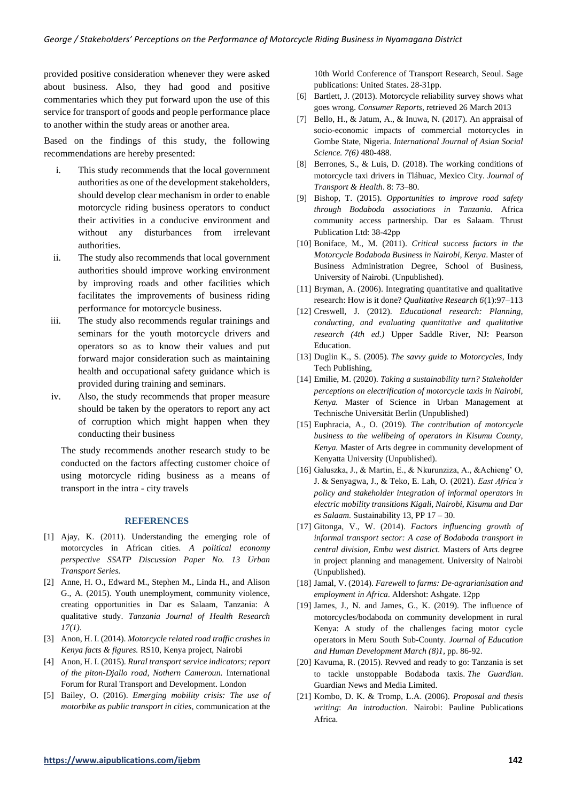provided positive consideration whenever they were asked about business. Also, they had good and positive commentaries which they put forward upon the use of this service for transport of goods and people performance place to another within the study areas or another area.

Based on the findings of this study, the following recommendations are hereby presented:

- i. This study recommends that the local government authorities as one of the development stakeholders, should develop clear mechanism in order to enable motorcycle riding business operators to conduct their activities in a conducive environment and without any disturbances from irrelevant authorities.
- ii. The study also recommends that local government authorities should improve working environment by improving roads and other facilities which facilitates the improvements of business riding performance for motorcycle business.
- iii. The study also recommends regular trainings and seminars for the youth motorcycle drivers and operators so as to know their values and put forward major consideration such as maintaining health and occupational safety guidance which is provided during training and seminars.
- iv. Also, the study recommends that proper measure should be taken by the operators to report any act of corruption which might happen when they conducting their business

The study recommends another research study to be conducted on the factors affecting customer choice of using motorcycle riding business as a means of transport in the intra - city travels

#### **REFERENCES**

- [1] Ajay, K. (2011). Understanding the emerging role of motorcycles in African cities. *A political economy perspective SSATP Discussion Paper No. 13 Urban Transport Series.*
- [2] Anne, H. O., Edward M., Stephen M., Linda H., and Alison G., A. (2015). Youth unemployment, community violence, creating opportunities in Dar es Salaam, Tanzania: A qualitative study. *Tanzania Journal of Health Research 17(1)*.
- [3] Anon, H. I. (2014). *Motorcycle related road traffic crashes in Kenya facts & figures.* RS10, Kenya project, Nairobi
- [4] Anon, H. I. (2015). *Rural transport service indicators; report of the piton-Djallo road, Nothern Cameroun.* International Forum for Rural Transport and Development. London
- [5] Bailey, O. (2016). *Emerging mobility crisis: The use of motorbike as public transport in cities,* communication at the

10th World Conference of Transport Research, Seoul. Sage publications: United States. 28-31pp.

- [6] Bartlett, J. (2013). Motorcycle reliability survey shows what goes wrong. *Consumer Reports*, retrieved 26 March 2013
- [7] Bello, H., & Jatum, A., & Inuwa, N. (2017). An appraisal of socio-economic impacts of commercial motorcycles in Gombe State, Nigeria. *International Journal of Asian Social Science. 7(6)* 480-488.
- [8] Berrones, S., & Luis, D. (2018). The working conditions of motorcycle taxi drivers in Tláhuac, Mexico City. *Journal of Transport & Health*. 8: 73–80.
- [9] Bishop, T. (2015). *Opportunities to improve road safety through Bodaboda associations in Tanzania.* Africa community access partnership. Dar es Salaam. Thrust Publication Ltd: 38-42pp
- [10] Boniface, M., M. (2011). *Critical success factors in the Motorcycle Bodaboda Business in Nairobi, Kenya*. Master of Business Administration Degree, School of Business, University of Nairobi. (Unpublished).
- [11] Bryman, A. (2006). Integrating quantitative and qualitative research: How is it done? *Qualitative Research 6*(1):97–113
- [12] Creswell, J. (2012). *Educational research: Planning, conducting, and evaluating quantitative and qualitative research (4th ed.)* Upper Saddle River, NJ: Pearson Education.
- [13] Duglin K., S. (2005). *The savvy guide to Motorcycles*, Indy Tech Publishing,
- [14] Emilie, M. (2020). *Taking a sustainability turn? Stakeholder perceptions on electrification of motorcycle taxis in Nairobi, Kenya.* Master of Science in Urban Management at Technische Universität Berlin (Unpublished)
- [15] Euphracia, A., O. (2019). *The contribution of motorcycle business to the wellbeing of operators in Kisumu County, Kenya.* Master of Arts degree in community development of Kenyatta University (Unpublished).
- [16] Galuszka, J., & Martin, E., & Nkurunziza, A., &Achieng' O, J. & Senyagwa, J., & Teko, E. Lah, O. (2021). *East Africa's policy and stakeholder integration of informal operators in electric mobility transitions Kigali, Nairobi, Kisumu and Dar es Salaam.* Sustainability 13, PP 17 – 30.
- [17] Gitonga, V., W. (2014). *Factors influencing growth of informal transport sector: A case of Bodaboda transport in central division, Embu west district.* Masters of Arts degree in project planning and management. University of Nairobi (Unpublished).
- [18] Jamal, V. (2014). *Farewell to farms: De-agrarianisation and employment in Africa*. Aldershot: Ashgate. 12pp
- [19] James, J., N. and James, G., K. (2019). The influence of motorcycles/bodaboda on community development in rural Kenya: A study of the challenges facing motor cycle operators in Meru South Sub-County*. Journal of Education and Human Development March (8)1,* pp. 86-92.
- [20] Kavuma, R. (2015). Revved and ready to go: Tanzania is set to tackle unstoppable Bodaboda taxis. *The Guardian*. Guardian News and Media Limited.
- [21] Kombo, D. K. & Tromp, L.A. (2006). *Proposal and thesis writing*: *An introduction*. Nairobi: Pauline Publications Africa.